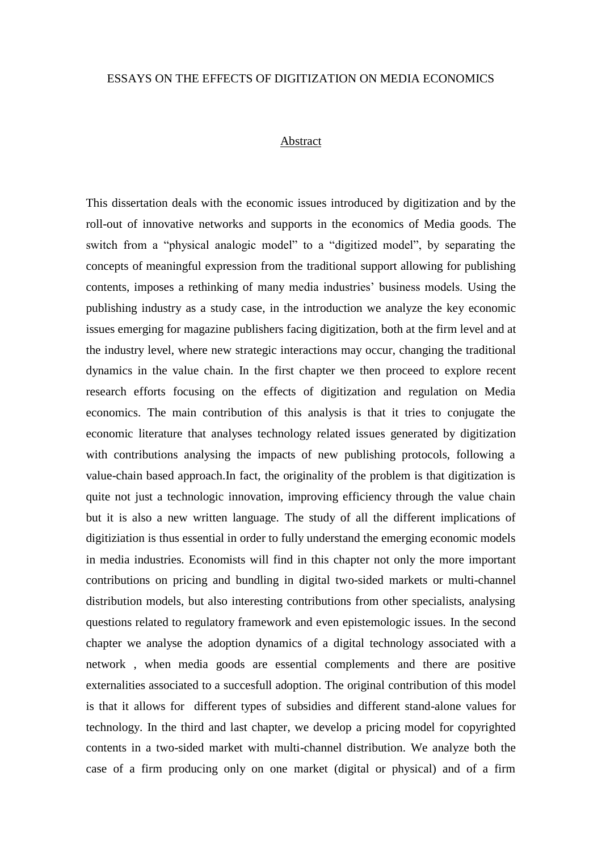## ESSAYS ON THE EFFECTS OF DIGITIZATION ON MEDIA ECONOMICS

## Abstract

This dissertation deals with the economic issues introduced by digitization and by the roll-out of innovative networks and supports in the economics of Media goods. The switch from a "physical analogic model" to a "digitized model", by separating the concepts of meaningful expression from the traditional support allowing for publishing contents, imposes a rethinking of many media industries' business models. Using the publishing industry as a study case, in the introduction we analyze the key economic issues emerging for magazine publishers facing digitization, both at the firm level and at the industry level, where new strategic interactions may occur, changing the traditional dynamics in the value chain. In the first chapter we then proceed to explore recent research efforts focusing on the effects of digitization and regulation on Media economics. The main contribution of this analysis is that it tries to conjugate the economic literature that analyses technology related issues generated by digitization with contributions analysing the impacts of new publishing protocols, following a value-chain based approach.In fact, the originality of the problem is that digitization is quite not just a technologic innovation, improving efficiency through the value chain but it is also a new written language. The study of all the different implications of digitiziation is thus essential in order to fully understand the emerging economic models in media industries. Economists will find in this chapter not only the more important contributions on pricing and bundling in digital two-sided markets or multi-channel distribution models, but also interesting contributions from other specialists, analysing questions related to regulatory framework and even epistemologic issues. In the second chapter we analyse the adoption dynamics of a digital technology associated with a network , when media goods are essential complements and there are positive externalities associated to a succesfull adoption. The original contribution of this model is that it allows for different types of subsidies and different stand-alone values for technology. In the third and last chapter, we develop a pricing model for copyrighted contents in a two-sided market with multi-channel distribution. We analyze both the case of a firm producing only on one market (digital or physical) and of a firm